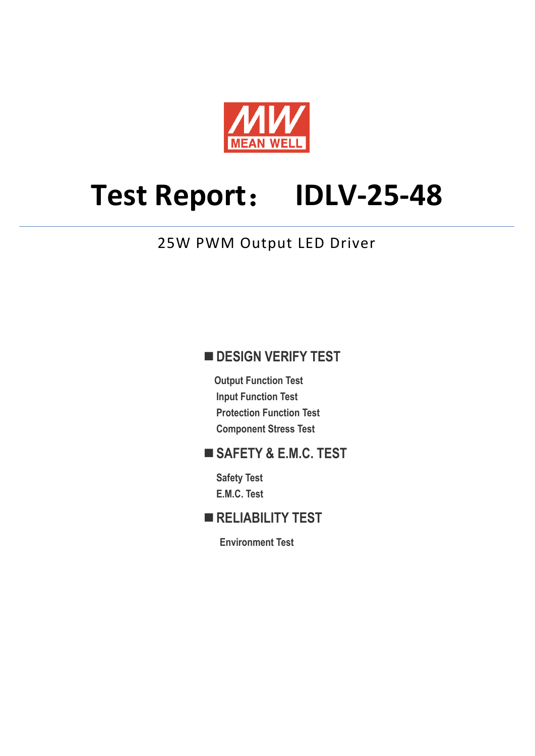

# **Test Report**: **IDLV-25-48**

## 25W PWM Output LED Driver

## **DESIGN VERIFY TEST**

**Output Function Test Input Function Test Protection Function Test Component Stress Test** 

## **SAFETY & E.M.C. TEST**

**Safety Test E.M.C. Test** 

## **RELIABILITY TEST**

**Environment Test**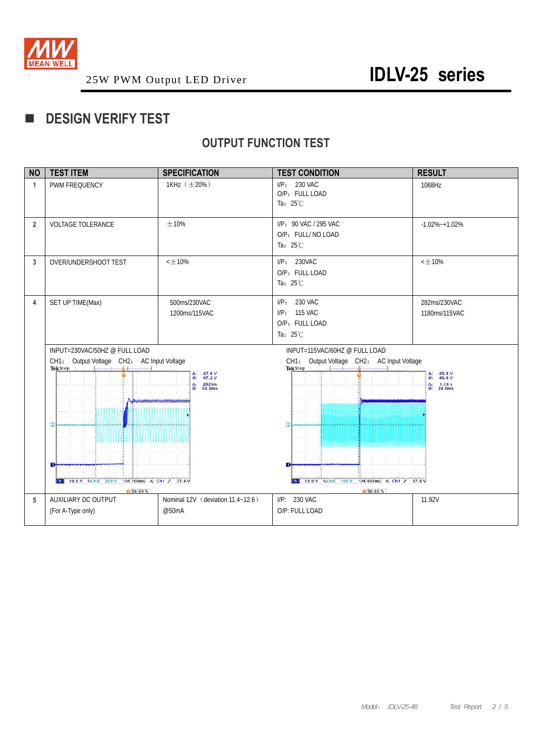

## **DESIGN VERIFY TEST**

## **OUTPUT FUNCTION TEST**

| <b>NO</b>      | <b>TEST ITEM</b>                                                                                                                                                                                                                                  | <b>SPECIFICATION</b>                       | <b>TEST CONDITION</b>                                                                                    | <b>RESULT</b>                                                    |
|----------------|---------------------------------------------------------------------------------------------------------------------------------------------------------------------------------------------------------------------------------------------------|--------------------------------------------|----------------------------------------------------------------------------------------------------------|------------------------------------------------------------------|
| $\mathbf{1}$   | PWM FREQUENCY                                                                                                                                                                                                                                     | 1KHz $(\pm 20\%)$                          | $I/P: 230$ VAC<br>O/P: FULL LOAD<br>Ta: $25^{\circ}$ C                                                   | 1068Hz                                                           |
| $\overline{2}$ | <b>VOLTAGE TOLERANCE</b>                                                                                                                                                                                                                          | ±10%                                       | I/P: 90 VAC / 295 VAC<br>O/P: FULL/ NO LOAD<br>Ta: $25^{\circ}$ C                                        | $-1.02\% -1.02\%$                                                |
| 3              | OVER/UNDERSHOOT TEST                                                                                                                                                                                                                              | $<$ $\pm$ 10%                              | I/P: 230VAC<br>O/P: FULL LOAD<br>Ta: $25^{\circ}$ C                                                      | $<\pm10\%$                                                       |
| 4              | SET UP TIME(Max)<br>500ms/230VAC<br>1200ms/115VAC                                                                                                                                                                                                 |                                            | I/P: 230 VAC<br>I/P: 115 VAC<br>O/P: FULL LOAD<br>Ta: $25^{\circ}$ C                                     | 282ms/230VAC<br>1180ms/115VAC                                    |
|                | INPUT=230VAC/50HZ @ FULL LOAD<br>CH1: Output Voltage CH2: AC Input Voltage<br>Tek Stop<br>$47.0V$<br>$47.2V$<br>Δ.<br>œ.<br>$\Delta$ : 282ms<br>68.0ms<br><b>Representation Communication</b><br>$\overline{2}$<br>31113111#111311113111131113111 |                                            | INPUT=115VAC/60HZ @ FULL LOAD<br>CH1: Output Voltage CH2: AC Input Voltage<br>Tek Stop<br>$\overline{2}$ | $\frac{\Delta}{\omega}$ : 45.8 V<br>$\Delta: 1.18s$<br>@: 24.0ms |
|                | <b>Gh1</b> 10.0 V %Ch2 250 V %M 100ms A Ch1 $f$ 37.4 V<br>150.60%                                                                                                                                                                                 |                                            | <b>Gill</b> 10.0 V %Ch2 100 V<br>M400ms A Ch1 J 37.8 V<br><b>IS0.60%</b>                                 |                                                                  |
| 5              | AUXILIARY DC OUTPUT<br>(For A-Type only)                                                                                                                                                                                                          | Nominal 12V (deviation 11.4~12.6)<br>@50mA | I/P: 230 VAC<br>O/P: FULL LOAD                                                                           | 11.92V                                                           |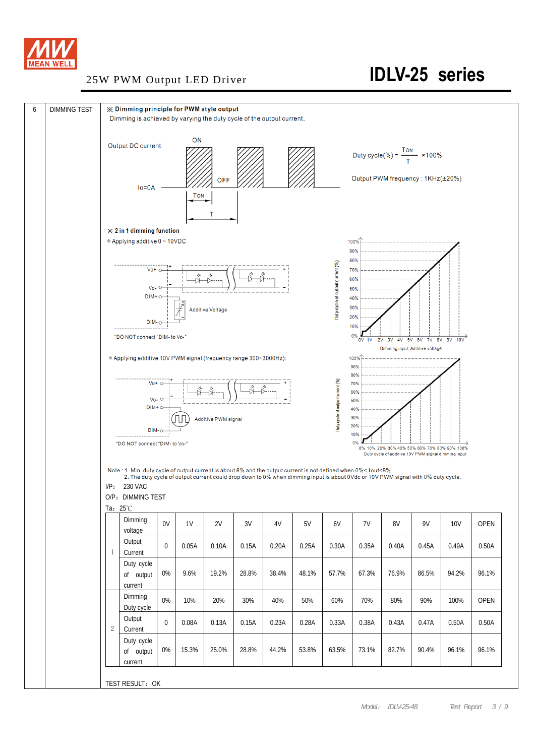

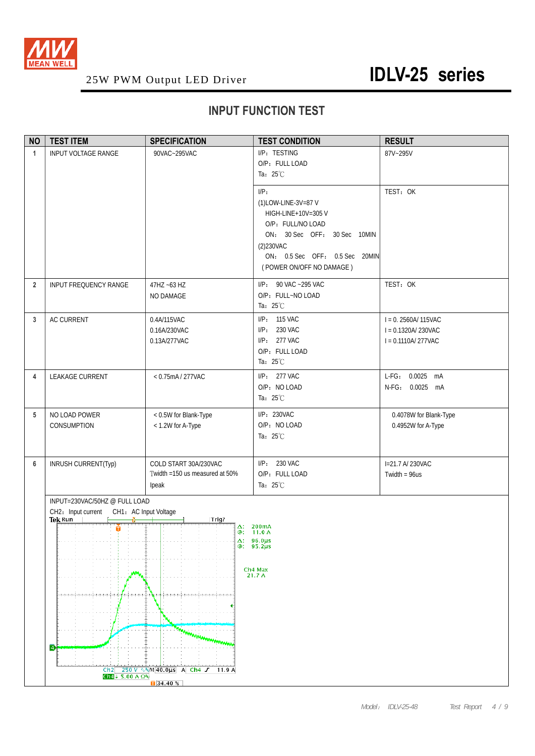

## **INPUT FUNCTION TEST**

| <b>NO</b>      | <b>TEST ITEM</b>                                       | <b>SPECIFICATION</b>                                             | <b>TEST CONDITION</b>                                                                                                                                                              | <b>RESULT</b>                                                         |  |  |  |
|----------------|--------------------------------------------------------|------------------------------------------------------------------|------------------------------------------------------------------------------------------------------------------------------------------------------------------------------------|-----------------------------------------------------------------------|--|--|--|
| $\mathbf{1}$   | INPUT VOLTAGE RANGE                                    | 90VAC~295VAC                                                     | I/P: TESTING<br>O/P: FULL LOAD<br>Ta: $25^{\circ}$ C                                                                                                                               | 87V~295V                                                              |  |  |  |
|                |                                                        |                                                                  | I/P:<br>(1)LOW-LINE-3V=87 V<br>HIGH-LINE+10V=305 V<br>O/P: FULL/NO LOAD<br>ON: 30 Sec OFF: 30 Sec 10MIN<br>(2)230VAC<br>ON: 0.5 Sec OFF: 0.5 Sec 20MIN<br>(POWER ON/OFF NO DAMAGE) | TEST: OK                                                              |  |  |  |
| $\overline{2}$ | <b>INPUT FREQUENCY RANGE</b>                           | 47HZ ~63 HZ<br>NO DAMAGE                                         | I/P: 90 VAC ~295 VAC<br>O/P: FULL~NO LOAD<br>Ta: $25^{\circ}$ C                                                                                                                    | TEST: OK                                                              |  |  |  |
| 3              | AC CURRENT                                             | 0.4A/115VAC<br>0.16A/230VAC<br>0.13A/277VAC                      | I/P: 115 VAC<br>I/P: 230 VAC<br>I/P: 277 VAC<br>O/P: FULL LOAD<br>Ta: $25^{\circ}$ C                                                                                               | $I = 0.2560A/115VAC$<br>$I = 0.1320$ A/230VAC<br>$I = 0.1110A/277VAC$ |  |  |  |
| 4              | LEAKAGE CURRENT                                        | < 0.75mA / 277VAC                                                | I/P: 277 VAC<br>O/P: NO LOAD<br>Ta: 25°C                                                                                                                                           | L-FG: 0.0025 mA<br>N-FG: 0.0025 mA                                    |  |  |  |
| 5              | NO LOAD POWER<br>CONSUMPTION                           | < 0.5W for Blank-Type<br>< 1.2W for A-Type                       | I/P: 230VAC<br>O/P: NO LOAD<br>Ta: $25^{\circ}$ C                                                                                                                                  | 0.4078W for Blank-Type<br>0.4952W for A-Type                          |  |  |  |
| 6              | INRUSH CURRENT(Typ)                                    | COLD START 30A/230VAC<br>Twidth =150 us measured at 50%<br>Ipeak | I/P: 230 VAC<br>O/P: FULL LOAD<br>Ta: 25°C                                                                                                                                         | I=21.7 A/230VAC<br>Twidth = $96us$                                    |  |  |  |
|                | INPUT=230VAC/50HZ @ FULL LOAD                          |                                                                  |                                                                                                                                                                                    |                                                                       |  |  |  |
|                | CH2: Input current<br>CH1: AC Input Voltage<br>Tek Run | Trig?                                                            |                                                                                                                                                                                    |                                                                       |  |  |  |
|                | Ŏ<br>ø                                                 | mariamman                                                        | $\Delta$ : 200mA<br>@: 11.0 A<br>$\Delta$ : 96.0µs<br>$@: 95.2 \mu s$<br>Ch <sub>4</sub> Max<br>21.7 A                                                                             |                                                                       |  |  |  |
|                | Ch2                                                    | 250 V ∿%M 40.0us A Ch4 f 11.9 A                                  |                                                                                                                                                                                    |                                                                       |  |  |  |
|                | $Ch4 + 5.00 A \Omega$<br>$\sqrt{34.40\%}$              |                                                                  |                                                                                                                                                                                    |                                                                       |  |  |  |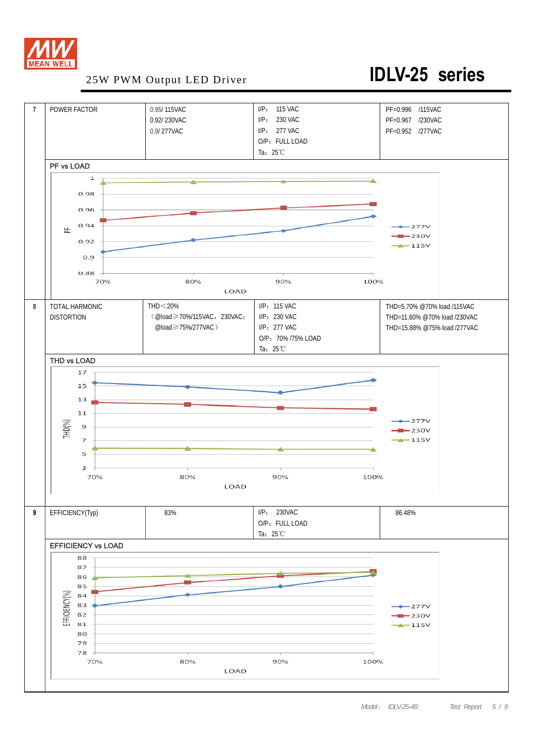

## 25W PWM Output LED Driver **IDLV-25 series**

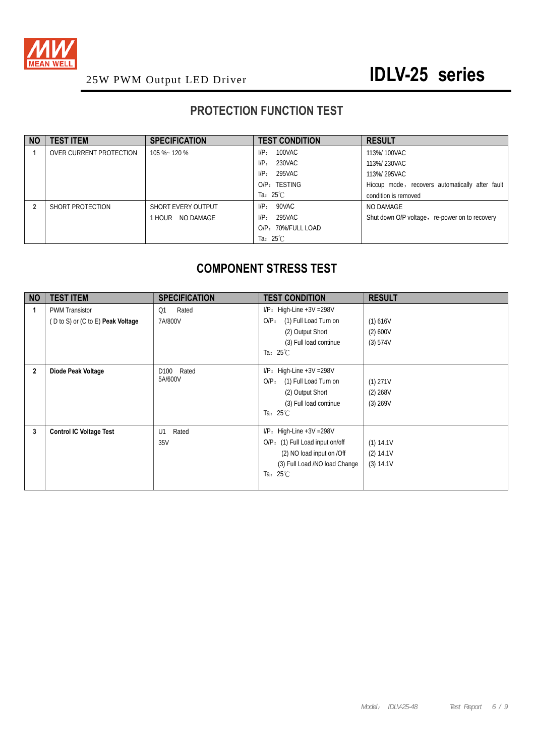

## **PROTECTION FUNCTION TEST**

| <b>NO</b> | <b>TEST ITEM</b>        | <b>SPECIFICATION</b> | <b>TEST CONDITION</b> | <b>RESULT</b>                                   |
|-----------|-------------------------|----------------------|-----------------------|-------------------------------------------------|
|           | OVER CURRENT PROTECTION | 105 %~ 120 %         | 100VAC<br>$I/P$ :     | 113%/100VAC                                     |
|           |                         |                      | 230VAC<br>$I/P$ :     | 113%/230VAC                                     |
|           |                         |                      | 295VAC<br>$I/P$ :     | 113%/295VAC                                     |
|           |                         |                      | O/P: TESTING          | Hiccup mode, recovers automatically after fault |
|           |                         |                      | Ta: $25^{\circ}$ C    | condition is removed                            |
|           | SHORT PROTECTION        | SHORT EVERY OUTPUT   | 90VAC<br>$I/P$ :      | NO DAMAGE                                       |
|           |                         | NO DAMAGE<br>1 HOUR- | 295VAC<br>$I/P$ :     | Shut down O/P voltage, re-power on to recovery  |
|           |                         |                      | O/P: 70%/FULL LOAD    |                                                 |
|           |                         |                      | Ta: $25^{\circ}$ C    |                                                 |

## **COMPONENT STRESS TEST**

| <b>NO</b>      | <b>TEST ITEM</b>                                                                        | <b>SPECIFICATION</b>               | <b>TEST CONDITION</b>                                                                                                                               | <b>RESULT</b>                         |
|----------------|-----------------------------------------------------------------------------------------|------------------------------------|-----------------------------------------------------------------------------------------------------------------------------------------------------|---------------------------------------|
|                | <b>PWM Transistor</b><br>$(D \text{ to } S)$ or $(C \text{ to } E)$ <b>Peak Voltage</b> | Rated<br>Q <sub>1</sub><br>7A/800V | $I/P$ : High-Line +3V = 298V<br>(1) Full Load Turn on<br>$O/P$ :<br>(2) Output Short<br>(3) Full load continue<br>Ta: $25^{\circ}$ C                | (1) 616V<br>(2) 600V<br>(3) 574V      |
| $\overline{2}$ | Diode Peak Voltage                                                                      | D100 Rated<br>5A/600V              | $I/P$ : High-Line +3V = 298V<br>(1) Full Load Turn on<br>$O/P$ :<br>(2) Output Short<br>(3) Full load continue<br>Ta: $25^{\circ}$ C                | $(1)$ 271V<br>$(2)$ 268V<br>(3) 269V  |
| 3              | <b>Control IC Voltage Test</b>                                                          | Rated<br>U1<br>35V                 | $I/P$ : High-Line +3V = 298V<br>O/P: (1) Full Load input on/off<br>(2) NO load input on /Off<br>(3) Full Load /NO load Change<br>Ta: $25^{\circ}$ C | (1) 14.1V<br>$(2)$ 14.1V<br>(3) 14.1V |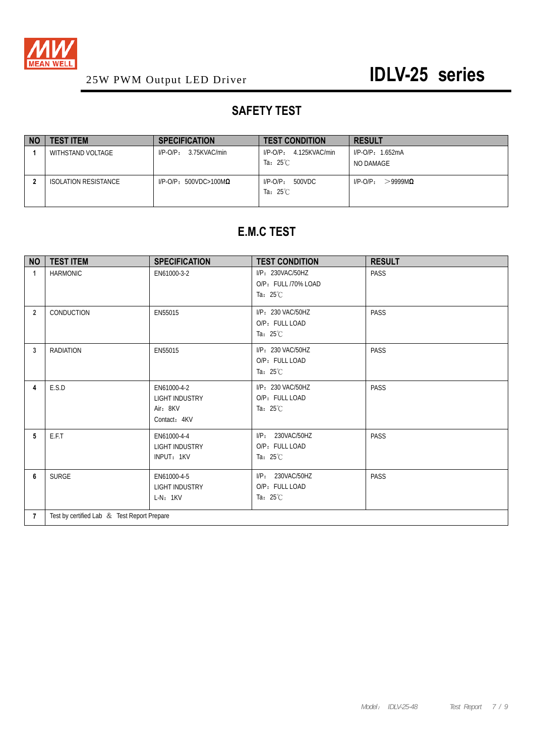

## **SAFETY TEST**

| <b>NO</b> | <b>TEST ITEM</b>     | <b>SPECIFICATION</b>             | <b>TEST CONDITION</b>                           | <b>RESULT</b>                      |
|-----------|----------------------|----------------------------------|-------------------------------------------------|------------------------------------|
|           | WITHSTAND VOLTAGE    | 3.75KVAC/min<br>$I/P-O/P$ :      | 4.125KVAC/min<br>$I/P$ -O/P:                    | $I/P$ -O/P: 1.652mA                |
|           |                      |                                  | Ta: $25^{\circ}$ C                              | NO DAMAGE                          |
|           | ISOLATION RESISTANCE | $I/P$ -O/P: 500VDC>100M $\Omega$ | 500VDC<br>$I/P$ - $O/P$ :<br>Ta: $25^{\circ}$ C | >9999M <sub>0</sub><br>$I/P$ -O/P: |

## **E.M.C TEST**

| <b>NO</b>      | <b>TEST ITEM</b>                            | <b>SPECIFICATION</b>                                             | <b>TEST CONDITION</b>                                         | <b>RESULT</b> |  |  |
|----------------|---------------------------------------------|------------------------------------------------------------------|---------------------------------------------------------------|---------------|--|--|
| 1              | <b>HARMONIC</b>                             | EN61000-3-2                                                      | I/P: 230VAC/50HZ<br>O/P: FULL /70% LOAD<br>Ta: $25^{\circ}$ C | <b>PASS</b>   |  |  |
| $\overline{2}$ | CONDUCTION                                  | EN55015                                                          | I/P: 230 VAC/50HZ<br>O/P: FULL LOAD<br>Ta: $25^{\circ}$ C     | PASS          |  |  |
| 3              | <b>RADIATION</b>                            | EN55015                                                          | I/P: 230 VAC/50HZ<br>O/P: FULL LOAD<br>Ta: $25^{\circ}$ C     | <b>PASS</b>   |  |  |
| 4              | E.S.D                                       | EN61000-4-2<br><b>LIGHT INDUSTRY</b><br>Air: 8KV<br>Contact: 4KV | I/P: 230 VAC/50HZ<br>O/P: FULL LOAD<br>Ta: $25^{\circ}$ C     | <b>PASS</b>   |  |  |
| 5              | E.F.T                                       | EN61000-4-4<br><b>LIGHT INDUSTRY</b><br>INPUT: 1KV               | I/P: 230VAC/50HZ<br>O/P: FULL LOAD<br>Ta: $25^{\circ}$ C      | <b>PASS</b>   |  |  |
| 6              | <b>SURGE</b>                                | EN61000-4-5<br><b>LIGHT INDUSTRY</b><br>$L-N: 1KV$               | I/P: 230VAC/50HZ<br>O/P: FULL LOAD<br>Ta: $25^{\circ}$ C      | PASS          |  |  |
| 7              | Test by certified Lab & Test Report Prepare |                                                                  |                                                               |               |  |  |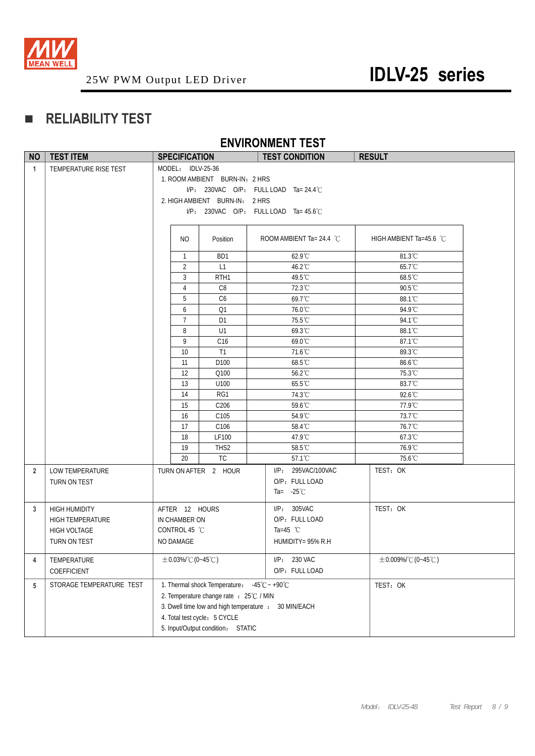

## **RELIABILITY TEST**

## **ENVIRONMENT TEST**

| <b>NO</b>      | <b>TEST ITEM</b>                                                                       | <b>SPECIFICATION</b>                                          |                                                                                                                                                                                              | <b>TEST CONDITION</b>                                                                       | <b>RESULT</b>            |
|----------------|----------------------------------------------------------------------------------------|---------------------------------------------------------------|----------------------------------------------------------------------------------------------------------------------------------------------------------------------------------------------|---------------------------------------------------------------------------------------------|--------------------------|
| $\mathbf{1}$   | TEMPERATURE RISE TEST                                                                  | MODEL: IDLV-25-36                                             | 1. ROOM AMBIENT BURN-IN: 2 HRS<br>2. HIGH AMBIENT BURN-IN: 2 HRS                                                                                                                             | $I/P$ : 230VAC O/P: FULL LOAD Ta= 24.4°C<br>I/P: 230VAC O/P: FULL LOAD Ta= $45.6^{\circ}$ C |                          |
|                |                                                                                        | NO.                                                           | Position                                                                                                                                                                                     | ROOM AMBIENT Ta= 24.4 $^{\circ}$ C                                                          | HIGH AMBIENT Ta=45.6 °C  |
|                |                                                                                        | $\mathbf{1}$                                                  | BD1                                                                                                                                                                                          | $62.9^{\circ}$ C                                                                            | 81.3°C                   |
|                |                                                                                        | 2                                                             | L1                                                                                                                                                                                           | 46.2°C                                                                                      | 65.7°C                   |
|                |                                                                                        | $\mathbf{3}$                                                  | RTH <sub>1</sub>                                                                                                                                                                             | 49.5°C                                                                                      | 68.5°C                   |
|                |                                                                                        | $\overline{4}$                                                | C <sub>8</sub>                                                                                                                                                                               | 72.3°C                                                                                      | 90.5°C                   |
|                |                                                                                        | 5                                                             | C <sub>6</sub>                                                                                                                                                                               | 69.7°C                                                                                      | 88.1°C                   |
|                |                                                                                        | 6                                                             | Q1                                                                                                                                                                                           | 76.0°C                                                                                      | 94.9°C                   |
|                |                                                                                        | $\overline{7}$<br>8                                           | D <sub>1</sub><br>U1                                                                                                                                                                         | 75.5°C<br>69.3°C                                                                            | 94.1°C<br>88.1°C         |
|                |                                                                                        | 9                                                             | C16                                                                                                                                                                                          | 69.0°C                                                                                      | 87.1°C                   |
|                |                                                                                        | 10                                                            | T1                                                                                                                                                                                           | 71.6°C                                                                                      | 89.3°C                   |
|                |                                                                                        | 11                                                            | D <sub>100</sub>                                                                                                                                                                             | 68.5°C                                                                                      | 86.6°C                   |
|                |                                                                                        | 12                                                            | Q100                                                                                                                                                                                         | 56.2°C                                                                                      | 75.3°C                   |
|                |                                                                                        | 13                                                            | U100                                                                                                                                                                                         | 65.5°C                                                                                      | 83.7°C                   |
|                |                                                                                        | 14                                                            | RG1                                                                                                                                                                                          | 74.3°C                                                                                      | 92.6°C                   |
|                |                                                                                        | 15                                                            | C206                                                                                                                                                                                         | 59.6°C                                                                                      | 77.9°C                   |
|                |                                                                                        | 16                                                            | C <sub>105</sub>                                                                                                                                                                             | 54.9°C                                                                                      | 73.7°C                   |
|                |                                                                                        | 17                                                            | C <sub>106</sub>                                                                                                                                                                             | 58.4°C                                                                                      | 76.7°C                   |
|                |                                                                                        | 18                                                            | LF100                                                                                                                                                                                        | 47.9°C                                                                                      | 67.3°C                   |
|                |                                                                                        | 19                                                            | THS <sub>2</sub>                                                                                                                                                                             | 58.5°C                                                                                      | 76.9°C                   |
|                |                                                                                        | 20                                                            | TC                                                                                                                                                                                           | 57.1°C                                                                                      | 75.6°C                   |
| $\overline{2}$ | <b>LOW TEMPERATURE</b><br>TURN ON TEST                                                 |                                                               | TURN ON AFTER 2 HOUR                                                                                                                                                                         | I/P: 295VAC/100VAC<br>O/P: FULL LOAD<br>Ta= $-25^{\circ}$ C                                 | TEST: OK                 |
| 3              | <b>HIGH HUMIDITY</b><br><b>HIGH TEMPERATURE</b><br><b>HIGH VOLTAGE</b><br>TURN ON TEST | AFTER 12 HOURS<br>IN CHAMBER ON<br>CONTROL 45 °C<br>NO DAMAGE |                                                                                                                                                                                              | I/P: 305VAC<br>O/P: FULL LOAD<br>Ta=45 $^{\circ}$ C<br>HUMIDITY= 95% R.H                    | TEST: OK                 |
| 4              | TEMPERATURE<br>COEFFICIENT                                                             | $\pm$ 0.03%/°C (0~45°C)                                       |                                                                                                                                                                                              | I/P: 230 VAC<br>O/P: FULL LOAD                                                              | $\pm$ 0.009%/°C (0~45°C) |
| 5              | STORAGE TEMPERATURE TEST                                                               |                                                               | 1. Thermal shock Temperature: $-45^{\circ}\text{C} \sim +90^{\circ}\text{C}$<br>2. Temperature change rate : 25°C / MIN<br>4. Total test cycle: 5 CYCLE<br>5. Input/Output condition: STATIC | 3. Dwell time low and high temperature : 30 MIN/EACH                                        | TEST: OK                 |